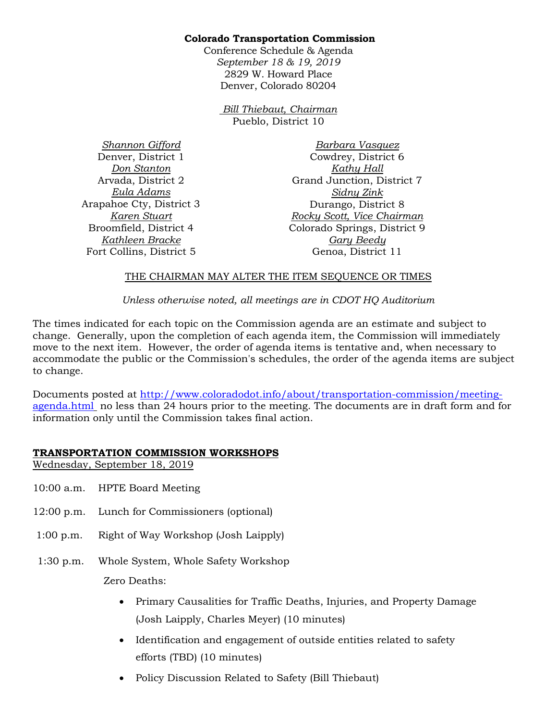### **Colorado Transportation Commission**

Conference Schedule & Agenda *September 18 & 19, 2019*  2829 W. Howard Place Denver, Colorado 80204

> *Bill Thiebaut, Chairman* Pueblo, District 10

*Shannon Gifford* Denver, District 1 *Don Stanton* Arvada, District 2 *Eula Adams* Arapahoe Cty, District 3 *Karen Stuart* Broomfield, District 4 *Kathleen Bracke* Fort Collins, District 5

*Barbara Vasquez* Cowdrey, District 6 *Kathy Hall* Grand Junction, District 7 *Sidny Zink* Durango, District 8 *Rocky Scott, Vice Chairman* Colorado Springs, District 9 *Gary Beedy* Genoa, District 11

### THE CHAIRMAN MAY ALTER THE ITEM SEQUENCE OR TIMES

*Unless otherwise noted, all meetings are in CDOT HQ Auditorium*

The times indicated for each topic on the Commission agenda are an estimate and subject to change. Generally, upon the completion of each agenda item, the Commission will immediately move to the next item. However, the order of agenda items is tentative and, when necessary to accommodate the public or the Commission's schedules, the order of the agenda items are subject to change.

Documents posted at [http://www.coloradodot.info/about/transportation-commission/meeting](http://www.coloradodot.info/about/transportation-commission/meeting-agenda.html)[agenda.html](http://www.coloradodot.info/about/transportation-commission/meeting-agenda.html) no less than 24 hours prior to the meeting. The documents are in draft form and for information only until the Commission takes final action.

# **TRANSPORTATION COMMISSION WORKSHOPS**

Wednesday, September 18, 2019

- 10:00 a.m. HPTE Board Meeting
- 12:00 p.m. Lunch for Commissioners (optional)
- 1:00 p.m. Right of Way Workshop (Josh Laipply)
- 1:30 p.m. Whole System, Whole Safety Workshop

Zero Deaths:

- Primary Causalities for Traffic Deaths, Injuries, and Property Damage (Josh Laipply, Charles Meyer) (10 minutes)
- Identification and engagement of outside entities related to safety efforts (TBD) (10 minutes)
- Policy Discussion Related to Safety (Bill Thiebaut)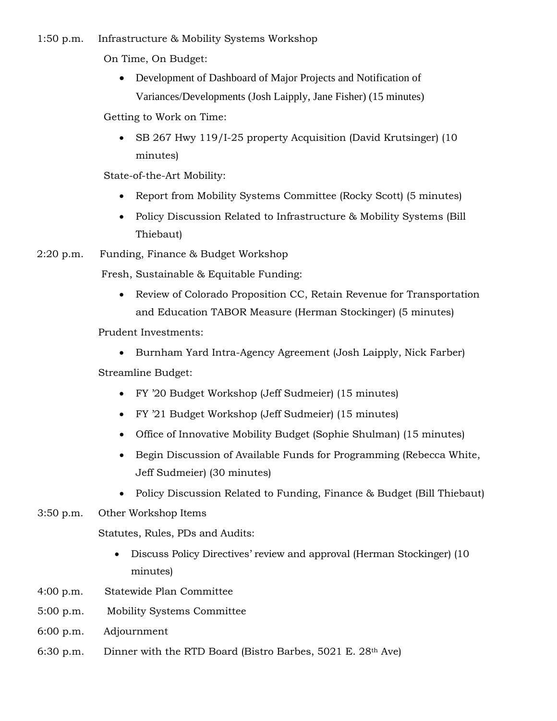1:50 p.m. Infrastructure & Mobility Systems Workshop

On Time, On Budget:

• Development of Dashboard of Major Projects and Notification of Variances/Developments (Josh Laipply, Jane Fisher) (15 minutes)

Getting to Work on Time:

• SB 267 Hwy 119/I-25 property Acquisition (David Krutsinger) (10 minutes)

State-of-the-Art Mobility:

- Report from Mobility Systems Committee (Rocky Scott) (5 minutes)
- Policy Discussion Related to Infrastructure & Mobility Systems (Bill Thiebaut)

2:20 p.m. Funding, Finance & Budget Workshop

Fresh, Sustainable & Equitable Funding:

• Review of Colorado Proposition CC, Retain Revenue for Transportation and Education TABOR Measure (Herman Stockinger) (5 minutes)

Prudent Investments:

- Burnham Yard Intra-Agency Agreement (Josh Laipply, Nick Farber) Streamline Budget:
	- FY '20 Budget Workshop (Jeff Sudmeier) (15 minutes)
	- FY '21 Budget Workshop (Jeff Sudmeier) (15 minutes)
	- Office of Innovative Mobility Budget (Sophie Shulman) (15 minutes)
	- Begin Discussion of Available Funds for Programming (Rebecca White, Jeff Sudmeier) (30 minutes)
	- Policy Discussion Related to Funding, Finance & Budget (Bill Thiebaut)
- 3:50 p.m. Other Workshop Items

Statutes, Rules, PDs and Audits:

- Discuss Policy Directives' review and approval (Herman Stockinger) (10 minutes)
- 4:00 p.m. Statewide Plan Committee
- 5:00 p.m. Mobility Systems Committee
- 6:00 p.m. Adjournment
- 6:30 p.m. Dinner with the RTD Board (Bistro Barbes, 5021 E. 28th Ave)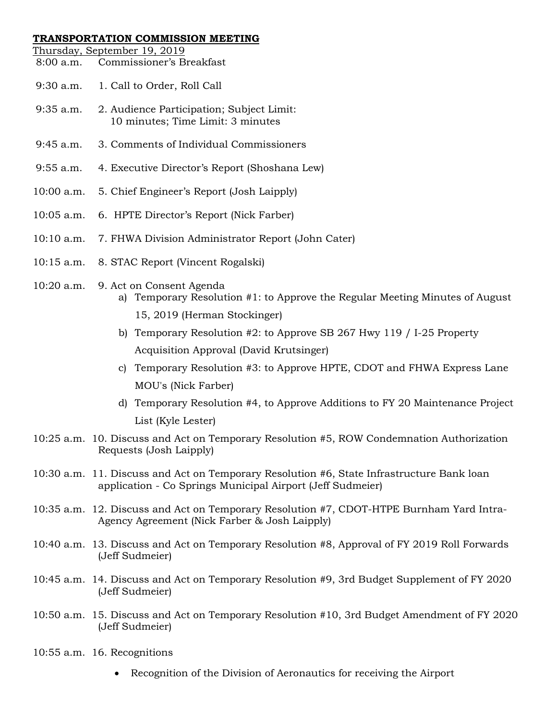| TRANSPORTATION COMMISSION MEETING |                                                                                                                                                         |
|-----------------------------------|---------------------------------------------------------------------------------------------------------------------------------------------------------|
| $8:00$ a.m.                       | Thursday, September 19, 2019<br>Commissioner's Breakfast                                                                                                |
|                                   |                                                                                                                                                         |
| $9:30$ a.m.                       | 1. Call to Order, Roll Call                                                                                                                             |
| $9:35$ a.m.                       | 2. Audience Participation; Subject Limit:<br>10 minutes; Time Limit: 3 minutes                                                                          |
| $9:45$ a.m.                       | 3. Comments of Individual Commissioners                                                                                                                 |
| $9:55$ a.m.                       | 4. Executive Director's Report (Shoshana Lew)                                                                                                           |
| 10:00 a.m.                        | 5. Chief Engineer's Report (Josh Laipply)                                                                                                               |
| $10:05$ a.m.                      | 6. HPTE Director's Report (Nick Farber)                                                                                                                 |
| $10:10$ a.m.                      | 7. FHWA Division Administrator Report (John Cater)                                                                                                      |
| $10:15$ a.m.                      | 8. STAC Report (Vincent Rogalski)                                                                                                                       |
| $10:20$ a.m.                      | 9. Act on Consent Agenda<br>a) Temporary Resolution #1: to Approve the Regular Meeting Minutes of August                                                |
|                                   | 15, 2019 (Herman Stockinger)                                                                                                                            |
|                                   | b) Temporary Resolution $#2$ : to Approve SB 267 Hwy 119 / I-25 Property                                                                                |
|                                   | Acquisition Approval (David Krutsinger)                                                                                                                 |
|                                   | c) Temporary Resolution #3: to Approve HPTE, CDOT and FHWA Express Lane                                                                                 |
|                                   | MOU's (Nick Farber)                                                                                                                                     |
|                                   | Temporary Resolution #4, to Approve Additions to FY 20 Maintenance Project<br>d)                                                                        |
|                                   | List (Kyle Lester)                                                                                                                                      |
|                                   | 10:25 a.m. 10. Discuss and Act on Temporary Resolution #5, ROW Condemnation Authorization<br>Requests (Josh Laipply)                                    |
|                                   | 10:30 a.m. 11. Discuss and Act on Temporary Resolution #6, State Infrastructure Bank loan<br>application - Co Springs Municipal Airport (Jeff Sudmeier) |
|                                   | 10:35 a.m. 12. Discuss and Act on Temporary Resolution #7, CDOT-HTPE Burnham Yard Intra-<br>Agency Agreement (Nick Farber & Josh Laipply)               |

- 10:40 a.m. 13. Discuss and Act on Temporary Resolution #8, Approval of FY 2019 Roll Forwards (Jeff Sudmeier)
- 10:45 a.m. 14. Discuss and Act on Temporary Resolution #9, 3rd Budget Supplement of FY 2020 (Jeff Sudmeier)
- 10:50 a.m. 15. Discuss and Act on Temporary Resolution #10, 3rd Budget Amendment of FY 2020 (Jeff Sudmeier)
- 10:55 a.m. 16. Recognitions
	- Recognition of the Division of Aeronautics for receiving the Airport